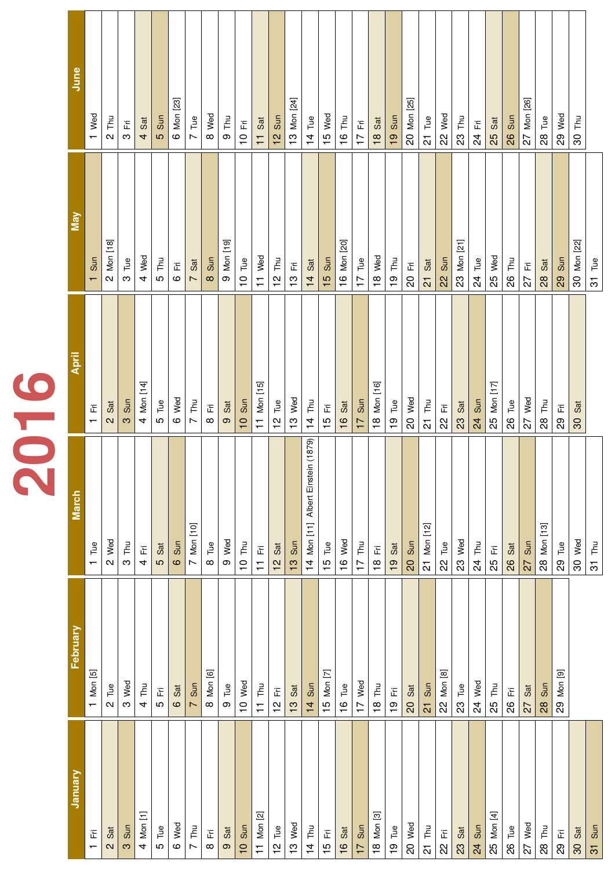|        | $\sqrt{ }$               | $\mathbf{N}$            | <u>က</u>    | $\overline{a}$                                              | $\mathbf D$    | $\mathbf{\Omega}$ | $\blacktriangleright$ | $\infty$ | $\mathbf{O}$ | $\bigcirc$<br>$\overline{\phantom{0}}$ | $\mathbf{\tau}$                                      | $\frac{N}{L}$ | <u>က</u><br>$\overline{\phantom{0}}$ | $\frac{1}{4}$ | $\frac{1}{1}$  | $\frac{6}{1}$ | $\overline{\phantom{a}}$<br>$\overline{\phantom{0}}$ | $\frac{8}{1}$                                                   | $\frac{0}{1}$  | $\overline{C}$ | $\overline{C}$      | $\Omega$       | $\Omega$ | $\overline{A}$ | $\frac{5}{2}$                 | 80  | 72  | 80  | $\overline{\mathcal{S}}$ |     |                |
|--------|--------------------------|-------------------------|-------------|-------------------------------------------------------------|----------------|-------------------|-----------------------|----------|--------------|----------------------------------------|------------------------------------------------------|---------------|--------------------------------------|---------------|----------------|---------------|------------------------------------------------------|-----------------------------------------------------------------|----------------|----------------|---------------------|----------------|----------|----------------|-------------------------------|-----|-----|-----|--------------------------|-----|----------------|
| Januar | $\overline{F}$ i         | Sat                     | Sun         | $\overline{\phantom{a}}$<br>$\overline{\phantom{a}}$<br>Mon | Tue            | Wed               | Thu                   | $F$ i    | Sat          | Sun                                    | $\overline{\mathsf{N}}$<br>المسطا<br>Mon             | Tue           | Wed                                  | Thu           | $F$ i          | Sat           | Sun                                                  | $\overline{\mathfrak{S}}$<br>$\overline{\phantom{a}}$<br>18 Mon | Tue            | Wed            | Thu                 | $\overline{H}$ | Sat      | Sun            | $\overline{f}$<br>لمسط<br>Mon | Tue | Wed | Thu | Fri                      | Sat | Sun            |
|        | $\overline{\phantom{0}}$ | $\overline{\mathbf{C}}$ | $\mathbf C$ | $\overline{\mathcal{A}}$                                    | $\mathfrak{D}$ | $\mathbf{\Omega}$ | $\blacktriangleright$ | $\infty$ | $\Omega$     | $\bigcirc$<br>$\overline{\phantom{0}}$ | $\overline{\phantom{0}}$<br>$\overline{\phantom{0}}$ | $\frac{2}{1}$ | S<br>$\tau$                          | $\frac{1}{4}$ | $\frac{15}{1}$ | $\frac{6}{1}$ | $\overline{1}$                                       |                                                                 | $\overline{1}$ | OO             | $\overline{\Omega}$ | 22             | 23       | 24             | 25                            | 80  | 72  | 80  | 80                       | 30  | $\overline{3}$ |

| February                                                                                                                                                                                                                                             |
|------------------------------------------------------------------------------------------------------------------------------------------------------------------------------------------------------------------------------------------------------|
| $\overline{5}$                                                                                                                                                                                                                                       |
|                                                                                                                                                                                                                                                      |
|                                                                                                                                                                                                                                                      |
|                                                                                                                                                                                                                                                      |
|                                                                                                                                                                                                                                                      |
|                                                                                                                                                                                                                                                      |
|                                                                                                                                                                                                                                                      |
| $\overline{\omega}$                                                                                                                                                                                                                                  |
|                                                                                                                                                                                                                                                      |
|                                                                                                                                                                                                                                                      |
|                                                                                                                                                                                                                                                      |
|                                                                                                                                                                                                                                                      |
|                                                                                                                                                                                                                                                      |
|                                                                                                                                                                                                                                                      |
|                                                                                                                                                                                                                                                      |
|                                                                                                                                                                                                                                                      |
|                                                                                                                                                                                                                                                      |
|                                                                                                                                                                                                                                                      |
|                                                                                                                                                                                                                                                      |
|                                                                                                                                                                                                                                                      |
|                                                                                                                                                                                                                                                      |
| $[8]$                                                                                                                                                                                                                                                |
|                                                                                                                                                                                                                                                      |
|                                                                                                                                                                                                                                                      |
|                                                                                                                                                                                                                                                      |
|                                                                                                                                                                                                                                                      |
|                                                                                                                                                                                                                                                      |
|                                                                                                                                                                                                                                                      |
| $\boxed{9}$<br><b>A</b><br>The strategy of the strategy of the strategy of the strategy of the strategy of the strategy of the strategy of the strategy of the strategy of the strategy of the strategy of the strategy of the strategy of the strat |
|                                                                                                                                                                                                                                                      |

|    | June             | Wed<br>$\tau$                  | Lu.<br>┝═<br>$\mathbf{N}$                                                                    | $\overline{\mathbf{z}}$ .<br>Щ<br>$\mathbf C$ | Sat<br>$\overline{4}$                     | Sun<br><b>LO</b> | [23]<br>Mon<br>$\mathbfcal{O}}$ | $\mathbf{B}$<br>$\overline{\phantom{a}}$<br>$\blacktriangleright$ | Wed<br>$\infty$   | Thu<br>$\mathbf{O}$                                                       | $\overline{H}$<br>$\overline{\phantom{0}}$                       | Sat<br>$\top$                                                                              | Sun<br>$\frac{1}{2}$ | [24]<br>Mon<br>$\frac{3}{1}$                         | $\overline{C}$<br>$\vdash$<br>$\frac{1}{4}$                                                                                                                                                                | Wed<br>$\overline{1}$              | LU.<br>$\vdash$<br>$\frac{6}{1}$                         | 그.<br>그<br>$\blacktriangleright$<br>$\tau$ | Sat<br>$\frac{8}{1}$            | Sun<br>$\overline{1}$ | $[25]$<br>Mon<br>OO | $\mathbf{e}$<br>$\vdash$<br>$\overline{\mathbf{C}}$ | Wed<br>22       | $\Xi$<br>$\vdash$<br>23                                                | $\overline{\mathsf{F}}$<br>$\overline{z}$ | Sat<br>25                                          | Sun<br>80 | [26]<br>non<br>$\geq$<br>72 | $\mathbf{g}$<br>$\vdash$<br>28 | Wed<br>29 | Thu<br><b>SO</b>                              |                                  |
|----|------------------|--------------------------------|----------------------------------------------------------------------------------------------|-----------------------------------------------|-------------------------------------------|------------------|---------------------------------|-------------------------------------------------------------------|-------------------|---------------------------------------------------------------------------|------------------------------------------------------------------|--------------------------------------------------------------------------------------------|----------------------|------------------------------------------------------|------------------------------------------------------------------------------------------------------------------------------------------------------------------------------------------------------------|------------------------------------|----------------------------------------------------------|--------------------------------------------|---------------------------------|-----------------------|---------------------|-----------------------------------------------------|-----------------|------------------------------------------------------------------------|-------------------------------------------|----------------------------------------------------|-----------|-----------------------------|--------------------------------|-----------|-----------------------------------------------|----------------------------------|
|    | <b>D</b>         | Sun<br>$\left  \right $        | $\overline{\phantom{0}}$<br>$\infty$<br>$\overline{\phantom{0}}$<br>Non<br>$\mathbf{\Omega}$ | Tue<br>$\infty$                               | Wed<br>$\overline{\mathcal{A}}$           | Thu<br>LO        | $\overline{H}$<br>$\circ$       | Sat<br>$\blacktriangleright$                                      | Sun<br>$\infty$   | $\overline{\phantom{a}}$<br>$\sigma$<br>$\blacksquare$<br>Mon<br>$\Omega$ | Tue<br>$\begin{array}{c}\n\mathbf{O} \\ \mathbf{I}\n\end{array}$ | Wed<br>$\begin{array}{c}\n\hline\n\hline\n\end{array}$                                     | Thu<br>$\frac{2}{1}$ | $\overline{\mathsf{F}}$ i<br>$\frac{3}{1}$           | Sat<br>$\frac{1}{4}$                                                                                                                                                                                       | Sun<br>$\frac{15}{1}$              | $\overline{\phantom{a}}$<br>[20]<br>Non<br>$\frac{6}{1}$ | Tue<br>$\blacktriangleright$<br>$\tau$     | Wed<br>$\frac{8}{1}$            | Thu<br>$\overline{0}$ | Fri<br>OO           | Sat<br>$\overline{C}$                               | Sun<br>22       | $\overline{\phantom{0}}$<br>$\blacksquare$<br>N<br>لمسمعا<br>Mon<br>23 | Tue<br>24                                 | Wed<br>25                                          | Thu<br>82 | $F$ i<br>72                 | Sat<br>80                      | Sun<br>29 | $\overline{\phantom{a}}$<br>[22]<br>Non<br>80 | Tue<br>$\overline{\mathfrak{S}}$ |
| KC | <b>STEP 1999</b> | Ēή<br>$\overline{\phantom{0}}$ | Sat<br>$\overline{\mathbf{C}}$                                                               | Sun<br>$\infty$                               | $[14]$<br>Mon<br>$\overline{\mathcal{A}}$ | Tue<br>LO        | Wed<br>$\circ$                  | Thu<br>$\blacktriangleright$                                      | $F$ i<br>$\infty$ | Sat<br>$\Omega$                                                           | Sun<br>$\overline{\phantom{0}}$                                  | $\overline{5}$<br>$\blacksquare$<br>Non<br>$\begin{array}{c}\n\hline\n\hline\n\end{array}$ | Tue<br>$\frac{2}{1}$ | Wed<br>$\frac{3}{1}$                                 | Thu<br>$\frac{1}{4}$                                                                                                                                                                                       | $\overline{F}$ i<br>$\overline{5}$ | Sat<br>$\frac{6}{1}$                                     | Sun<br>$\overline{1}$                      | [16]<br>Non<br>$\frac{8}{1}$    | Tue<br>$\frac{0}{1}$  | Wed<br>OO           | Thu<br>$\overline{C}$                               | $F$ i<br>22     | Sat<br>23                                                              | Sun<br>24                                 | $\overline{\nabla}$<br>$\blacksquare$<br>Mon<br>25 | Tue<br>82 | Wed<br>72                   | Thu<br>80                      | 그<br>29   | Sat<br>80                                     |                                  |
|    | March            | Tue<br>$\sqrt{ }$              | Wed<br>$\mathbf{C}$                                                                          | Thu<br>$\mathbf C$                            | 그<br>$\overline{4}$                       | Sat<br>5         | Sun<br>$\circ$                  | $[10]$<br>Mon<br>$\overline{\phantom{a}}$                         | Tue<br>$\infty$   | Wed<br>$\Omega$                                                           | Thu<br>$\overline{\mathsf{1}}$                                   | $\overline{\mathsf{Fr}}$<br>$\top$                                                         | Sat<br>$\frac{1}{2}$ | Sun<br>$\mathbf{\Omega}$<br>$\overline{\phantom{0}}$ | 1879)<br>$\overline{\phantom{0}}$<br>Einstein<br>Albert<br>$\overline{\mathbf{r}}$<br>$\begin{array}{c} \begin{array}{c} \text{ } \\ \text{ } \\ \text{ } \end{array} \end{array}$<br>Mon<br>$\frac{1}{4}$ | Tue<br>$\frac{1}{5}$               | Wed<br>$\frac{6}{1}$                                     | Thu<br>$\overline{1}$                      | $\overline{H}$<br>$\frac{8}{1}$ | Sat<br>$\overline{0}$ | Sun<br>OO           | $[12]$<br>Non<br>$\overline{N}$                     | Tue<br>$\Omega$ | Wed<br>23                                                              | Lu<br>Thu<br>$\overline{z}$               | $\overline{\mathsf{Fr}}$<br>25                     | Sat<br>82 | Sun<br>72                   | $[13]$<br>Mon<br>28            | Tue<br>29 | Wed<br>$\frac{1}{2}$                          | Thu<br>$\overline{\mathcal{S}}$  |